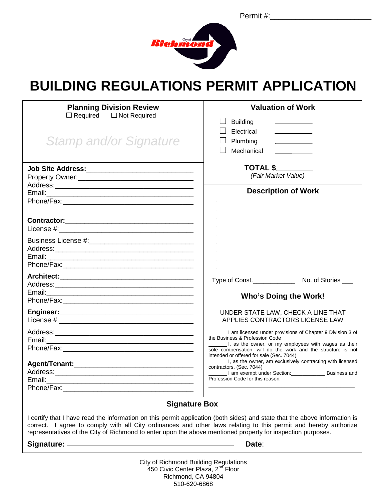Permit #:



# **BUILDING REGULATIONS PERMIT APPLICATION**

| <b>Planning Division Review</b><br>$\Box$ Required $\Box$ Not Required<br><b>Stamp and/or Signature</b>                                                                                                                                                              | <b>Valuation of Work</b><br><b>Building</b><br>Electrical<br>Plumbing<br><u> 1999 - Jan Barnett, fransk politiker</u><br>1990 - Jan Barnett, fransk politiker<br>1990 - Jan Barnett, fransk politiker<br>Mechanical                                             |
|----------------------------------------------------------------------------------------------------------------------------------------------------------------------------------------------------------------------------------------------------------------------|-----------------------------------------------------------------------------------------------------------------------------------------------------------------------------------------------------------------------------------------------------------------|
| Property Owner: 2008 2012 2022 2023 2024 2022 2023 2024 2022 2023 2024 2022 2023 2024 2022 2023 2024 2022 2023                                                                                                                                                       | <b>TOTAL \$</b><br>(Fair Market Value)                                                                                                                                                                                                                          |
|                                                                                                                                                                                                                                                                      | <b>Description of Work</b>                                                                                                                                                                                                                                      |
|                                                                                                                                                                                                                                                                      |                                                                                                                                                                                                                                                                 |
| Email:<br><u> 2000 - 2000 - 2000 - 2000 - 2000 - 2000 - 2000 - 2000 - 2000 - 2000 - 2000 - 2000 - 2000 - 2000 - 2000 - 200</u>                                                                                                                                       |                                                                                                                                                                                                                                                                 |
|                                                                                                                                                                                                                                                                      |                                                                                                                                                                                                                                                                 |
|                                                                                                                                                                                                                                                                      | <b>Who's Doing the Work!</b>                                                                                                                                                                                                                                    |
|                                                                                                                                                                                                                                                                      | UNDER STATE LAW, CHECK A LINE THAT<br>APPLIES CONTRACTORS LICENSE LAW                                                                                                                                                                                           |
|                                                                                                                                                                                                                                                                      | I am licensed under provisions of Chapter 9 Division 3 of<br>the Business & Profession Code<br>I, as the owner, or my employees with wages as their<br>sole compensation, will do the work and the structure is not<br>intended or offered for sale (Sec. 7044) |
|                                                                                                                                                                                                                                                                      | I, as the owner, am exclusively contracting with licensed<br>contractors. (Sec. 7044)<br>I am exempt under Section: Business and<br>Profession Code for this reason:                                                                                            |
| <b>Signature Box</b><br>I certify that I have read the information on this permit application (both sides) and state that the above information is<br>correct I agree to comply with all City ordinances and other laws relating to this permit and hereby authorize |                                                                                                                                                                                                                                                                 |

correct. I agree to comply with all City ordinances and other laws relating to this permit and hereby authorize representatives of the City of Richmond to enter upon the above mentioned property for inspection purposes.

**Signature: Date**:

City of Richmond Building Regulations 450 Civic Center Plaza, 2<sup>nd</sup> Floor Richmond, CA 94804 510-620-6868